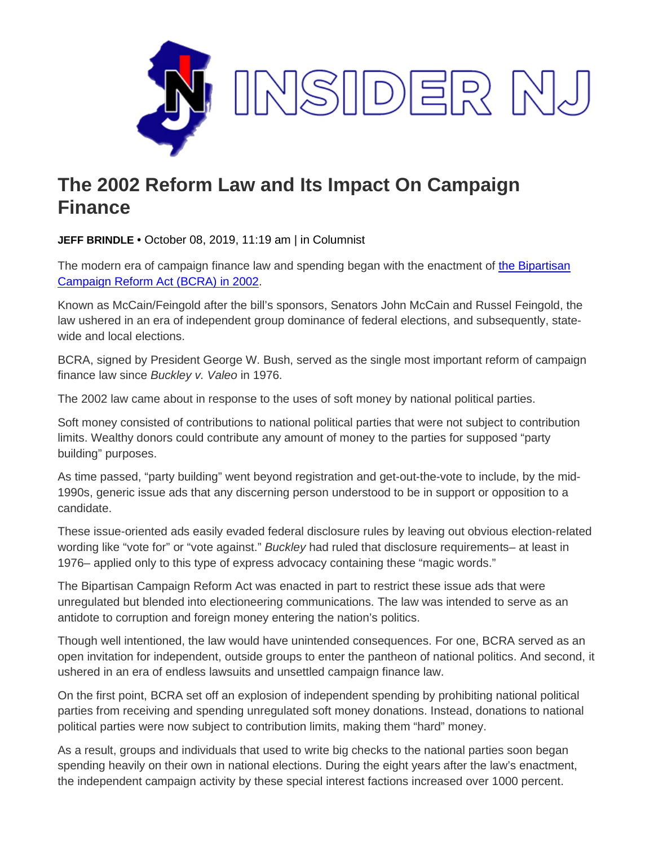

## **The 2002 Reform Law and Its Impact On Campaign Finance**

**JEFF BRINDLE** • October 08, 2019, 11:19 am | in Columnist

The modern era of campaign finance law and spending began with the enactment of [the Bipartisan](https://www.britannica.com/topic/Bipartisan-Campaign-Reform-Act)  [Campaign Reform Act \(BCRA\) in 2002.](https://www.britannica.com/topic/Bipartisan-Campaign-Reform-Act)

Known as McCain/Feingold after the bill's sponsors, Senators John McCain and Russel Feingold, the law ushered in an era of independent group dominance of federal elections, and subsequently, statewide and local elections.

BCRA, signed by President George W. Bush, served as the single most important reform of campaign finance law since *Buckley v. Valeo* in 1976.

The 2002 law came about in response to the uses of soft money by national political parties.

Soft money consisted of contributions to national political parties that were not subject to contribution limits. Wealthy donors could contribute any amount of money to the parties for supposed "party building" purposes.

As time passed, "party building" went beyond registration and get-out-the-vote to include, by the mid-1990s, generic issue ads that any discerning person understood to be in support or opposition to a candidate.

These issue-oriented ads easily evaded federal disclosure rules by leaving out obvious election-related wording like "vote for" or "vote against." *Buckley* had ruled that disclosure requirements– at least in 1976– applied only to this type of express advocacy containing these "magic words."

The Bipartisan Campaign Reform Act was enacted in part to restrict these issue ads that were unregulated but blended into electioneering communications. The law was intended to serve as an antidote to corruption and foreign money entering the nation's politics.

Though well intentioned, the law would have unintended consequences. For one, BCRA served as an open invitation for independent, outside groups to enter the pantheon of national politics. And second, it ushered in an era of endless lawsuits and unsettled campaign finance law.

On the first point, BCRA set off an explosion of independent spending by prohibiting national political parties from receiving and spending unregulated soft money donations. Instead, donations to national political parties were now subject to contribution limits, making them "hard" money.

As a result, groups and individuals that used to write big checks to the national parties soon began spending heavily on their own in national elections. During the eight years after the law's enactment, the independent campaign activity by these special interest factions increased over 1000 percent.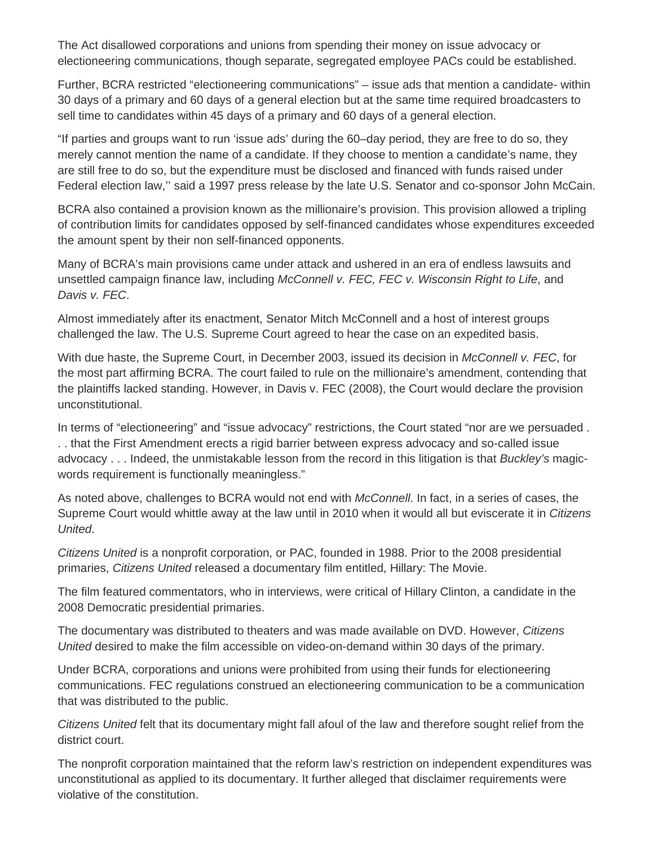The Act disallowed corporations and unions from spending their money on issue advocacy or electioneering communications, though separate, segregated employee PACs could be established.

Further, BCRA restricted "electioneering communications" – issue ads that mention a candidate- within 30 days of a primary and 60 days of a general election but at the same time required broadcasters to sell time to candidates within 45 days of a primary and 60 days of a general election.

"If parties and groups want to run 'issue ads' during the 60–day period, they are free to do so, they merely cannot mention the name of a candidate. If they choose to mention a candidate's name, they are still free to do so, but the expenditure must be disclosed and financed with funds raised under Federal election law,'' said a 1997 press release by the late U.S. Senator and co-sponsor John McCain.

BCRA also contained a provision known as the millionaire's provision. This provision allowed a tripling of contribution limits for candidates opposed by self-financed candidates whose expenditures exceeded the amount spent by their non self-financed opponents.

Many of BCRA's main provisions came under attack and ushered in an era of endless lawsuits and unsettled campaign finance law, including *McConnell v. FEC, FEC v. Wisconsin Right to Life*, and *Davis v. FEC*.

Almost immediately after its enactment, Senator Mitch McConnell and a host of interest groups challenged the law. The U.S. Supreme Court agreed to hear the case on an expedited basis.

With due haste, the Supreme Court, in December 2003, issued its decision in *McConnell v. FEC*, for the most part affirming BCRA. The court failed to rule on the millionaire's amendment, contending that the plaintiffs lacked standing. However, in Davis v. FEC (2008), the Court would declare the provision unconstitutional.

In terms of "electioneering" and "issue advocacy" restrictions, the Court stated "nor are we persuaded . . . that the First Amendment erects a rigid barrier between express advocacy and so-called issue advocacy . . . Indeed, the unmistakable lesson from the record in this litigation is that *Buckley's* magicwords requirement is functionally meaningless."

As noted above, challenges to BCRA would not end with *McConnell*. In fact, in a series of cases, the Supreme Court would whittle away at the law until in 2010 when it would all but eviscerate it in *Citizens United*.

*Citizens United* is a nonprofit corporation, or PAC, founded in 1988. Prior to the 2008 presidential primaries, *Citizens United* released a documentary film entitled, Hillary: The Movie.

The film featured commentators, who in interviews, were critical of Hillary Clinton, a candidate in the 2008 Democratic presidential primaries.

The documentary was distributed to theaters and was made available on DVD. However, *Citizens United* desired to make the film accessible on video-on-demand within 30 days of the primary.

Under BCRA, corporations and unions were prohibited from using their funds for electioneering communications. FEC regulations construed an electioneering communication to be a communication that was distributed to the public.

*Citizens United* felt that its documentary might fall afoul of the law and therefore sought relief from the district court.

The nonprofit corporation maintained that the reform law's restriction on independent expenditures was unconstitutional as applied to its documentary. It further alleged that disclaimer requirements were violative of the constitution.